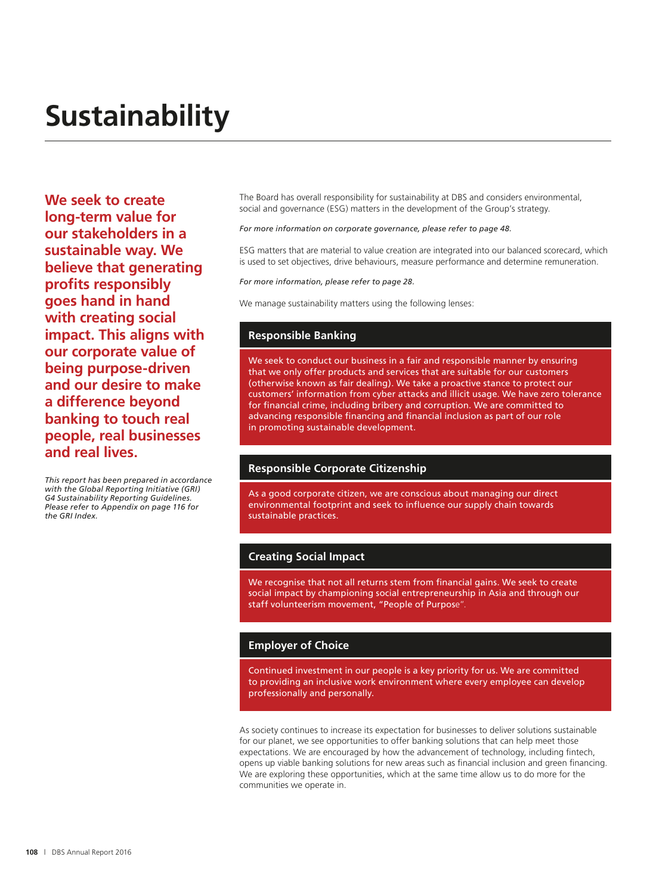# **Sustainability**

**We seek to create long-term value for our stakeholders in a sustainable way. We believe that generating profits responsibly goes hand in hand with creating social impact. This aligns with our corporate value of being purpose-driven and our desire to make a difference beyond banking to touch real people, real businesses and real lives.**

*This report has been prepared in accordance with the Global Reporting Initiative (GRI) G4 Sustainability Reporting Guidelines. Please refer to Appendix on page 116 for the GRI Index.* 

The Board has overall responsibility for sustainability at DBS and considers environmental, social and governance (ESG) matters in the development of the Group's strategy.

*For more information on corporate governance, please refer to page 48.*

ESG matters that are material to value creation are integrated into our balanced scorecard, which is used to set objectives, drive behaviours, measure performance and determine remuneration.

*For more information, please refer to page 28.*

We manage sustainability matters using the following lenses:

#### **Responsible Banking**

We seek to conduct our business in a fair and responsible manner by ensuring that we only offer products and services that are suitable for our customers (otherwise known as fair dealing). We take a proactive stance to protect our customers' information from cyber attacks and illicit usage. We have zero tolerance for financial crime, including bribery and corruption. We are committed to advancing responsible financing and financial inclusion as part of our role in promoting sustainable development.

### **Responsible Corporate Citizenship**

As a good corporate citizen, we are conscious about managing our direct environmental footprint and seek to influence our supply chain towards sustainable practices.

#### **Creating Social Impact**

We recognise that not all returns stem from financial gains. We seek to create social impact by championing social entrepreneurship in Asia and through our staff volunteerism movement, "People of Purpose".

#### **Employer of Choice**

Continued investment in our people is a key priority for us. We are committed to providing an inclusive work environment where every employee can develop professionally and personally.

As society continues to increase its expectation for businesses to deliver solutions sustainable for our planet, we see opportunities to offer banking solutions that can help meet those expectations. We are encouraged by how the advancement of technology, including fintech, opens up viable banking solutions for new areas such as financial inclusion and green financing. We are exploring these opportunities, which at the same time allow us to do more for the communities we operate in.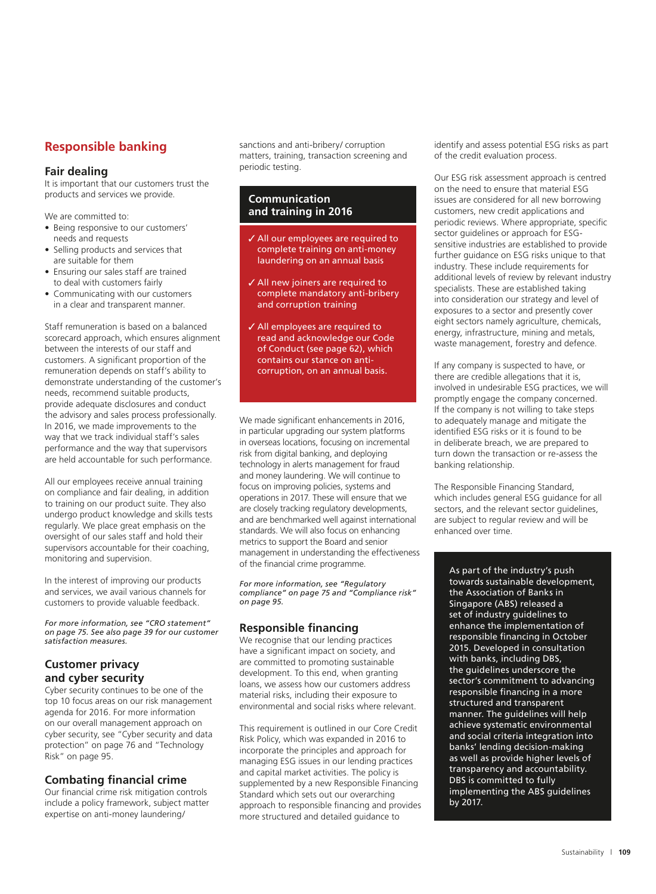# **Responsible banking**

#### **Fair dealing**

It is important that our customers trust the products and services we provide.

We are committed to:

- Being responsive to our customers' needs and requests
- Selling products and services that are suitable for them
- Ensuring our sales staff are trained to deal with customers fairly
- Communicating with our customers in a clear and transparent manner.

Staff remuneration is based on a balanced scorecard approach, which ensures alignment between the interests of our staff and customers. A significant proportion of the remuneration depends on staff's ability to demonstrate understanding of the customer's needs, recommend suitable products, provide adequate disclosures and conduct the advisory and sales process professionally. In 2016, we made improvements to the way that we track individual staff's sales performance and the way that supervisors are held accountable for such performance.

All our employees receive annual training on compliance and fair dealing, in addition to training on our product suite. They also undergo product knowledge and skills tests regularly. We place great emphasis on the oversight of our sales staff and hold their supervisors accountable for their coaching, monitoring and supervision.

In the interest of improving our products and services, we avail various channels for customers to provide valuable feedback.

*For more information, see "CRO statement" on page 75. See also page 39 for our customer satisfaction measures.* 

# **Customer privacy and cyber security**

Cyber security continues to be one of the top 10 focus areas on our risk management agenda for 2016. For more information on our overall management approach on cyber security, see "Cyber security and data protection" on page 76 and "Technology Risk" on page 95.

# **Combating financial crime**

Our financial crime risk mitigation controls include a policy framework, subject matter expertise on anti-money laundering/

sanctions and anti-bribery/ corruption matters, training, transaction screening and periodic testing.

#### **Communication and training in 2016**

- All our employees are required to complete training on anti-money laundering on an annual basis
- All new joiners are required to complete mandatory anti-bribery and corruption training
- All employees are required to read and acknowledge our Code of Conduct (see page 62), which contains our stance on anticorruption, on an annual basis.

We made significant enhancements in 2016, in particular upgrading our system platforms in overseas locations, focusing on incremental risk from digital banking, and deploying technology in alerts management for fraud and money laundering. We will continue to focus on improving policies, systems and operations in 2017. These will ensure that we are closely tracking regulatory developments, and are benchmarked well against international standards. We will also focus on enhancing metrics to support the Board and senior management in understanding the effectiveness of the financial crime programme.

*For more information, see "Regulatory compliance" on page 75 and "Compliance risk" on page 95.* 

## **Responsible financing**

We recognise that our lending practices have a significant impact on society, and are committed to promoting sustainable development. To this end, when granting loans, we assess how our customers address material risks, including their exposure to environmental and social risks where relevant.

This requirement is outlined in our Core Credit Risk Policy, which was expanded in 2016 to incorporate the principles and approach for managing ESG issues in our lending practices and capital market activities. The policy is supplemented by a new Responsible Financing Standard which sets out our overarching approach to responsible financing and provides more structured and detailed guidance to

identify and assess potential ESG risks as part of the credit evaluation process.

Our ESG risk assessment approach is centred on the need to ensure that material ESG issues are considered for all new borrowing customers, new credit applications and periodic reviews. Where appropriate, specific sector guidelines or approach for ESGsensitive industries are established to provide further guidance on ESG risks unique to that industry. These include requirements for additional levels of review by relevant industry specialists. These are established taking into consideration our strategy and level of exposures to a sector and presently cover eight sectors namely agriculture, chemicals, energy, infrastructure, mining and metals, waste management, forestry and defence.

If any company is suspected to have, or there are credible allegations that it is, involved in undesirable ESG practices, we will promptly engage the company concerned. If the company is not willing to take steps to adequately manage and mitigate the identified ESG risks or it is found to be in deliberate breach, we are prepared to turn down the transaction or re-assess the banking relationship.

The Responsible Financing Standard, which includes general ESG guidance for all sectors, and the relevant sector guidelines, are subject to regular review and will be enhanced over time.

As part of the industry's push towards sustainable development, the Association of Banks in Singapore (ABS) released a set of industry guidelines to enhance the implementation of responsible financing in October 2015. Developed in consultation with banks, including DBS, the guidelines underscore the sector's commitment to advancing responsible financing in a more structured and transparent manner. The guidelines will help achieve systematic environmental and social criteria integration into banks' lending decision-making as well as provide higher levels of transparency and accountability. DBS is committed to fully implementing the ABS guidelines by 2017.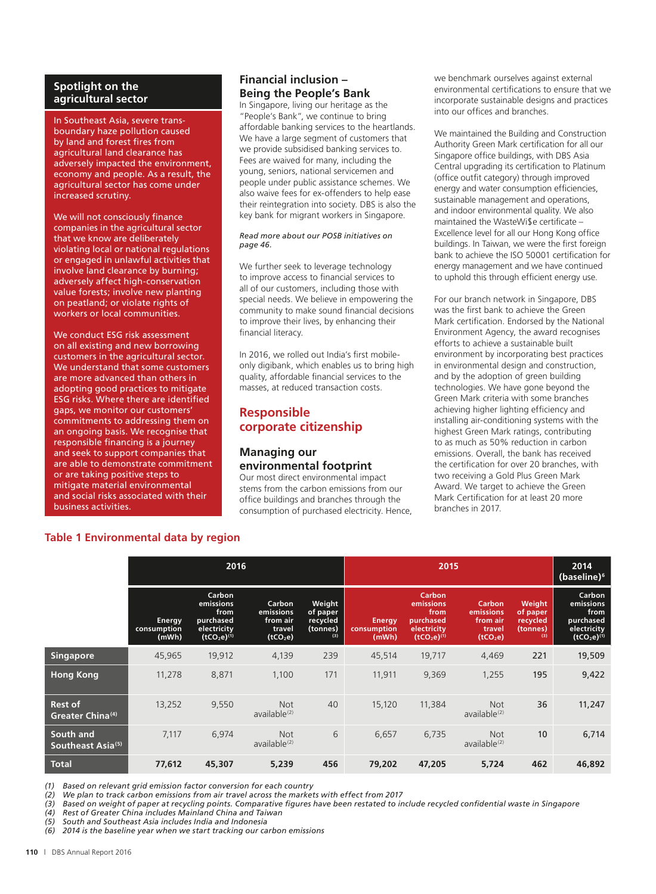#### **Spotlight on the agricultural sector**

In Southeast Asia, severe transboundary haze pollution caused by land and forest fires from agricultural land clearance has adversely impacted the environment, economy and people. As a result, the agricultural sector has come under increased scrutiny.

We will not consciously finance companies in the agricultural sector that we know are deliberately violating local or national regulations or engaged in unlawful activities that involve land clearance by burning; adversely affect high-conservation value forests; involve new planting on peatland; or violate rights of workers or local communities.

We conduct ESG risk assessment on all existing and new borrowing customers in the agricultural sector. We understand that some customers are more advanced than others in adopting good practices to mitigate ESG risks. Where there are identified gaps, we monitor our customers' commitments to addressing them on an ongoing basis. We recognise that responsible financing is a journey and seek to support companies that are able to demonstrate commitment or are taking positive steps to mitigate material environmental and social risks associated with their business activities.

# **Financial inclusion – Being the People's Bank**

In Singapore, living our heritage as the "People's Bank", we continue to bring affordable banking services to the heartlands. We have a large segment of customers that we provide subsidised banking services to. Fees are waived for many, including the young, seniors, national servicemen and people under public assistance schemes. We also waive fees for ex-offenders to help ease their reintegration into society. DBS is also the key bank for migrant workers in Singapore.

#### *Read more about our POSB initiatives on page 46.*

We further seek to leverage technology to improve access to financial services to all of our customers, including those with special needs. We believe in empowering the community to make sound financial decisions to improve their lives, by enhancing their financial literacy.

In 2016, we rolled out India's first mobileonly digibank, which enables us to bring high quality, affordable financial services to the masses, at reduced transaction costs.

# **Responsible corporate citizenship**

# **Managing our environmental footprint**

Our most direct environmental impact stems from the carbon emissions from our office buildings and branches through the consumption of purchased electricity. Hence,

we benchmark ourselves against external environmental certifications to ensure that we incorporate sustainable designs and practices into our offices and branches.

We maintained the Building and Construction Authority Green Mark certification for all our Singapore office buildings, with DBS Asia Central upgrading its certification to Platinum (office outfit category) through improved energy and water consumption efficiencies, sustainable management and operations, and indoor environmental quality. We also maintained the WasteWi\$e certificate – Excellence level for all our Hong Kong office buildings. In Taiwan, we were the first foreign bank to achieve the ISO 50001 certification for energy management and we have continued to uphold this through efficient energy use.

For our branch network in Singapore, DBS was the first bank to achieve the Green Mark certification. Endorsed by the National Environment Agency, the award recognises efforts to achieve a sustainable built environment by incorporating best practices in environmental design and construction, and by the adoption of green building technologies. We have gone beyond the Green Mark criteria with some branches achieving higher lighting efficiency and installing air-conditioning systems with the highest Green Mark ratings, contributing to as much as 50% reduction in carbon emissions. Overall, the bank has received the certification for over 20 branches, with two receiving a Gold Plus Green Mark Award. We target to achieve the Green Mark Certification for at least 20 more branches in 2017.

# **Table 1 Environmental data by region**

|                                                  | 2016                           |                                                                            |                                                                   |                                                   | 2015                                  |                                                                                   |                                                                   |                                                   | 2014<br>(baseline) <sup>6</sup>                                            |
|--------------------------------------------------|--------------------------------|----------------------------------------------------------------------------|-------------------------------------------------------------------|---------------------------------------------------|---------------------------------------|-----------------------------------------------------------------------------------|-------------------------------------------------------------------|---------------------------------------------------|----------------------------------------------------------------------------|
|                                                  | Energy<br>consumption<br>(mWh) | Carbon<br>emissions<br>from<br>purchased<br>electricity<br>$(tCO2e)^{(1)}$ | Carbon<br>emissions<br>from air<br>travel<br>(tCO <sub>2</sub> e) | Weight<br>of paper<br>recycled<br>(tonnes)<br>(3) | <b>Energy</b><br>consumption<br>(mWh) | <b>Carbon</b><br>emissions<br>from<br>purchased<br>electricity<br>$(tCO2e)^{(1)}$ | Carbon<br>emissions<br>from air<br>travel<br>(tCO <sub>2</sub> e) | Weight<br>of paper<br>recycled<br>(tonnes)<br>(3) | Carbon<br>emissions<br>from<br>purchased<br>electricity<br>$(tCO2e)^{(1)}$ |
| <b>Singapore</b>                                 | 45,965                         | 19,912                                                                     | 4,139                                                             | 239                                               | 45,514                                | 19,717                                                                            | 4,469                                                             | 221                                               | 19,509                                                                     |
| <b>Hong Kong</b>                                 | 11,278                         | 8,871                                                                      | 1,100                                                             | 171                                               | 11,911                                | 9,369                                                                             | 1,255                                                             | 195                                               | 9,422                                                                      |
| <b>Rest of</b><br>Greater China <sup>(4)</sup> ، | 13,252                         | 9,550                                                                      | <b>Not</b><br>available <sup>(2)</sup>                            | 40                                                | 15,120                                | 11,384                                                                            | <b>Not</b><br>$a$ vailable $(2)$                                  | 36                                                | 11,247                                                                     |
| South and<br>Southeast Asia <sup>(5)</sup>       | 7,117                          | 6,974                                                                      | <b>Not</b><br>available <sup>(2)</sup>                            | 6                                                 | 6,657                                 | 6,735                                                                             | <b>Not</b><br>$a$ vailable $(2)$                                  | 10                                                | 6,714                                                                      |
| <b>Total</b>                                     | 77,612                         | 45,307                                                                     | 5,239                                                             | 456                                               | 79,202                                | 47,205                                                                            | 5,724                                                             | 462                                               | 46,892                                                                     |

*(1) Based on relevant grid emission factor conversion for each country*

*(2) We plan to track carbon emissions from air travel across the markets with effect from 2017*

*(3) Based on weight of paper at recycling points. Comparative figures have been restated to include recycled confidential waste in Singapore*

*(4) Rest of Greater China includes Mainland China and Taiwan*

*(5) South and Southeast Asia includes India and Indonesia*

*(6) 2014 is the baseline year when we start tracking our carbon emissions*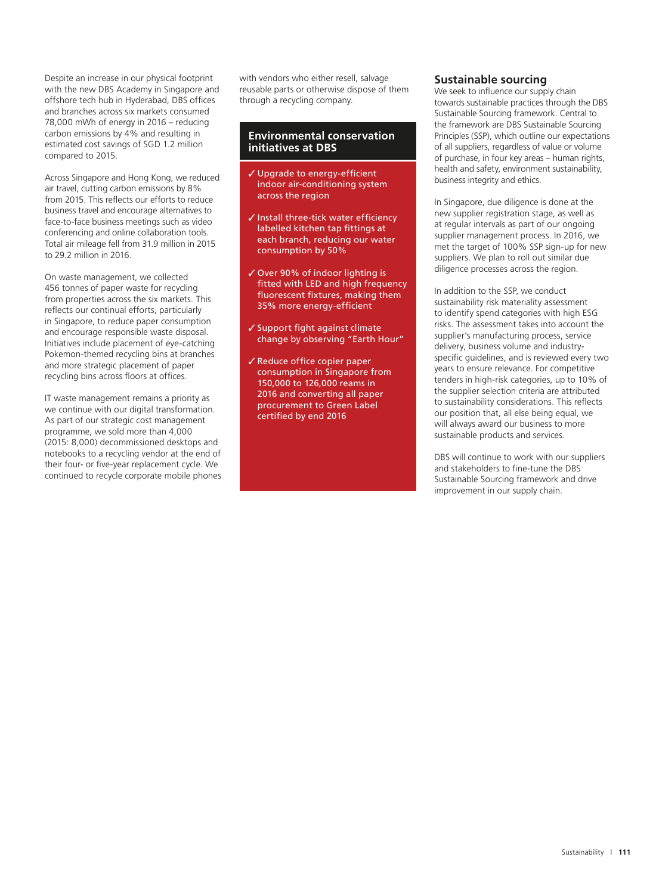Despite an increase in our physical footprint with the new DBS Academy in Singapore and offshore tech hub in Hyderabad, DBS offices and branches across six markets consumed 78,000 mWh of energy in 2016 – reducing carbon emissions by 4% and resulting in estimated cost savings of SGD 1.2 million compared to 2015.

Across Singapore and Hong Kong, we reduced air travel, cutting carbon emissions by 8% from 2015. This reflects our efforts to reduce business travel and encourage alternatives to face-to-face business meetings such as video conferencing and online collaboration tools. Total air mileage fell from 31.9 million in 2015 to 29.2 million in 2016.

On waste management, we collected 456 tonnes of paper waste for recycling from properties across the six markets. This reflects our continual efforts, particularly in Singapore, to reduce paper consumption and encourage responsible waste disposal. Initiatives include placement of eye-catching Pokemon-themed recycling bins at branches and more strategic placement of paper recycling bins across floors at offices.

IT waste management remains a priority as we continue with our digital transformation. As part of our strategic cost management programme, we sold more than 4,000 (2015: 8,000) decommissioned desktops and notebooks to a recycling vendor at the end of their four- or five-year replacement cycle. We continued to recycle corporate mobile phones with vendors who either resell, salvage reusable parts or otherwise dispose of them through a recycling company.

#### **Environmental conservation initiatives at DBS**

- Upgrade to energy-efficient indoor air-conditioning system across the region
- $\checkmark$  Install three-tick water efficiency labelled kitchen tap fittings at each branch, reducing our water consumption by 50%
- Over 90% of indoor lighting is fitted with LED and high frequency fluorescent fixtures, making them 35% more energy-efficient
- $\checkmark$  Support fight against climate change by observing "Earth Hour"
- $\checkmark$  Reduce office copier paper consumption in Singapore from 150,000 to 126,000 reams in 2016 and converting all paper procurement to Green Label certified by end 2016

## **Sustainable sourcing**

We seek to influence our supply chain towards sustainable practices through the DBS Sustainable Sourcing framework. Central to the framework are DBS Sustainable Sourcing Principles (SSP), which outline our expectations of all suppliers, regardless of value or volume of purchase, in four key areas – human rights, health and safety, environment sustainability, business integrity and ethics.

In Singapore, due diligence is done at the new supplier registration stage, as well as at regular intervals as part of our ongoing supplier management process. In 2016, we met the target of 100% SSP sign-up for new suppliers. We plan to roll out similar due diligence processes across the region.

In addition to the SSP, we conduct sustainability risk materiality assessment to identify spend categories with high ESG risks. The assessment takes into account the supplier's manufacturing process, service delivery, business volume and industryspecific guidelines, and is reviewed every two years to ensure relevance. For competitive tenders in high-risk categories, up to 10% of the supplier selection criteria are attributed to sustainability considerations. This reflects our position that, all else being equal, we will always award our business to more sustainable products and services.

DBS will continue to work with our suppliers and stakeholders to fine-tune the DBS Sustainable Sourcing framework and drive improvement in our supply chain.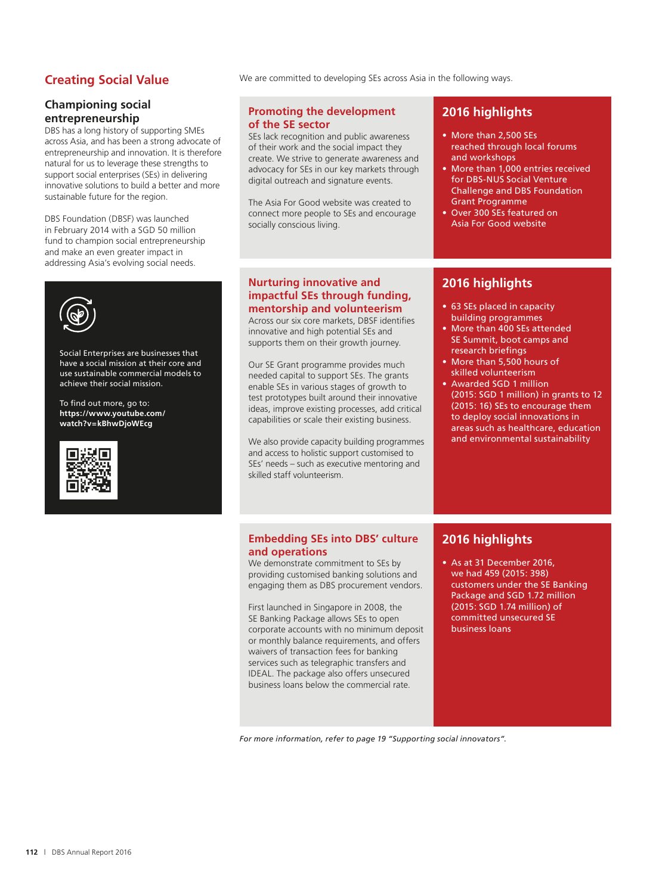# **Creating Social Value**

## **Championing social entrepreneurship**

DBS has a long history of supporting SMEs across Asia, and has been a strong advocate of entrepreneurship and innovation. It is therefore natural for us to leverage these strengths to support social enterprises (SEs) in delivering innovative solutions to build a better and more sustainable future for the region.

DBS Foundation (DBSF) was launched in February 2014 with a SGD 50 million fund to champion social entrepreneurship and make an even greater impact in addressing Asia's evolving social needs.



Social Enterprises are businesses that have a social mission at their core and use sustainable commercial models to achieve their social mission.

To find out more, go to: **https://www.youtube.com/ watch?v=kBhwDjoWEcg**



We are committed to developing SEs across Asia in the following ways.

#### **Promoting the development of the SE sector**

SEs lack recognition and public awareness of their work and the social impact they create. We strive to generate awareness and advocacy for SEs in our key markets through digital outreach and signature events.

The Asia For Good website was created to connect more people to SEs and encourage socially conscious living.

# **2016 highlights**

- More than 2,500 SEs reached through local forums and workshops
- More than 1,000 entries received for DBS-NUS Social Venture Challenge and DBS Foundation Grant Programme
- Over 300 SEs featured on Asia For Good website

## **Nurturing innovative and impactful SEs through funding, mentorship and volunteerism**

Across our six core markets, DBSF identifies innovative and high potential SEs and supports them on their growth journey.

Our SE Grant programme provides much needed capital to support SEs. The grants enable SEs in various stages of growth to test prototypes built around their innovative ideas, improve existing processes, add critical capabilities or scale their existing business.

We also provide capacity building programmes and access to holistic support customised to SEs' needs – such as executive mentoring and skilled staff volunteerism.

# **2016 highlights**

- 63 SEs placed in capacity building programmes
- More than 400 SEs attended SE Summit, boot camps and research briefings
- More than 5,500 hours of skilled volunteerism
- Awarded SGD 1 million (2015: SGD 1 million) in grants to 12 (2015: 16) SEs to encourage them to deploy social innovations in areas such as healthcare, education and environmental sustainability

#### **Embedding SEs into DBS' culture and operations**

We demonstrate commitment to SEs by providing customised banking solutions and engaging them as DBS procurement vendors.

First launched in Singapore in 2008, the SE Banking Package allows SEs to open corporate accounts with no minimum deposit or monthly balance requirements, and offers waivers of transaction fees for banking services such as telegraphic transfers and IDEAL. The package also offers unsecured business loans below the commercial rate.

# **2016 highlights**

• As at 31 December 2016, we had 459 (2015: 398) customers under the SE Banking Package and SGD 1.72 million (2015: SGD 1.74 million) of committed unsecured SE business loans

*For more information, refer to page 19 "Supporting social innovators".*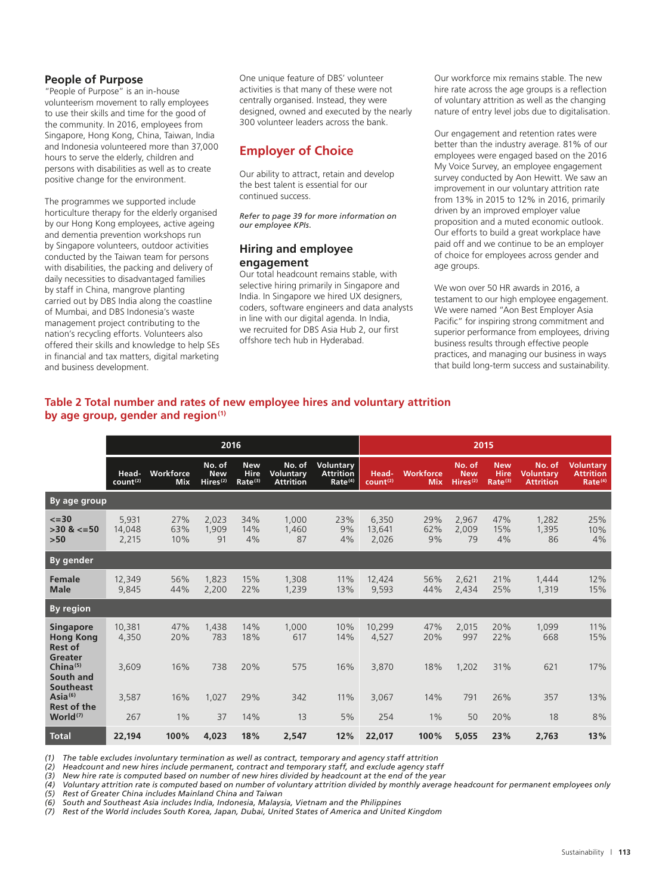## **People of Purpose**

"People of Purpose" is an in-house volunteerism movement to rally employees to use their skills and time for the good of the community. In 2016, employees from Singapore, Hong Kong, China, Taiwan, India and Indonesia volunteered more than 37,000 hours to serve the elderly, children and persons with disabilities as well as to create positive change for the environment.

The programmes we supported include horticulture therapy for the elderly organised by our Hong Kong employees, active ageing and dementia prevention workshops run by Singapore volunteers, outdoor activities conducted by the Taiwan team for persons with disabilities, the packing and delivery of daily necessities to disadvantaged families by staff in China, mangrove planting carried out by DBS India along the coastline of Mumbai, and DBS Indonesia's waste management project contributing to the nation's recycling efforts. Volunteers also offered their skills and knowledge to help SEs in financial and tax matters, digital marketing and business development.

One unique feature of DBS' volunteer activities is that many of these were not centrally organised. Instead, they were designed, owned and executed by the nearly 300 volunteer leaders across the bank.

# **Employer of Choice**

Our ability to attract, retain and develop the best talent is essential for our continued success.

*Refer to page 39 for more information on our employee KPIs.*

## **Hiring and employee engagement**

Our total headcount remains stable, with selective hiring primarily in Singapore and India. In Singapore we hired UX designers, coders, software engineers and data analysts in line with our digital agenda. In India, we recruited for DBS Asia Hub 2, our first offshore tech hub in Hyderabad.

Our workforce mix remains stable. The new hire rate across the age groups is a reflection of voluntary attrition as well as the changing nature of entry level jobs due to digitalisation.

Our engagement and retention rates were better than the industry average. 81% of our employees were engaged based on the 2016 My Voice Survey, an employee engagement survey conducted by Aon Hewitt. We saw an improvement in our voluntary attrition rate from 13% in 2015 to 12% in 2016, primarily driven by an improved employer value proposition and a muted economic outlook. Our efforts to build a great workplace have paid off and we continue to be an employer of choice for employees across gender and age groups.

We won over 50 HR awards in 2016, a testament to our high employee engagement. We were named "Aon Best Employer Asia Pacific" for inspiring strong commitment and superior performance from employees, driving business results through effective people practices, and managing our business in ways that build long-term success and sustainability.

## **Table 2 Total number and rates of new employee hires and voluntary attrition by age group, gender and region(1)**

|                                                         | 2016                          |                         |                                              |                                           | 2015                                    |                                                      |                               |                                |                                              |                                                  |                                                |                                                             |
|---------------------------------------------------------|-------------------------------|-------------------------|----------------------------------------------|-------------------------------------------|-----------------------------------------|------------------------------------------------------|-------------------------------|--------------------------------|----------------------------------------------|--------------------------------------------------|------------------------------------------------|-------------------------------------------------------------|
|                                                         | Head-<br>count <sup>(2)</sup> | Workforce<br><b>Mix</b> | No. of<br><b>New</b><br>Hires <sup>(2)</sup> | <b>New</b><br>Hire<br>Rate <sup>(3)</sup> | No. of<br>Voluntary<br><b>Attrition</b> | Voluntary<br><b>Attrition</b><br>Rate <sup>(4)</sup> | Head-<br>count <sup>(2)</sup> | <b>Workforce</b><br><b>Mix</b> | No. of<br><b>New</b><br>Hires <sup>(2)</sup> | <b>New</b><br><b>Hire</b><br>Rate <sup>(3)</sup> | No. of<br><b>Voluntarv</b><br><b>Attrition</b> | <b>Voluntary</b><br><b>Attrition</b><br>Rate <sup>(4)</sup> |
| By age group                                            |                               |                         |                                              |                                           |                                         |                                                      |                               |                                |                                              |                                                  |                                                |                                                             |
| $\leq$ = 30<br>$>30$ & $<=50$<br>$>50$                  | 5,931<br>14.048<br>2,215      | 27%<br>63%<br>10%       | 2,023<br>1.909<br>91                         | 34%<br>14%<br>4%                          | 1,000<br>1,460<br>87                    | 23%<br>9%<br>4%                                      | 6,350<br>13,641<br>2,026      | 29%<br>62%<br>9%               | 2,967<br>2,009<br>79                         | 47%<br>15%<br>4%                                 | 1,282<br>1,395<br>86                           | 25%<br>10%<br>4%                                            |
| By gender                                               |                               |                         |                                              |                                           |                                         |                                                      |                               |                                |                                              |                                                  |                                                |                                                             |
| Female<br><b>Male</b>                                   | 12.349<br>9,845               | 56%<br>44%              | 1.823<br>2,200                               | 15%<br>22%                                | 1,308<br>1,239                          | 11%<br>13%                                           | 12,424<br>9,593               | 56%<br>44%                     | 2,621<br>2,434                               | 21%<br>25%                                       | 1,444<br>1,319                                 | 12%<br>15%                                                  |
| <b>By region</b>                                        |                               |                         |                                              |                                           |                                         |                                                      |                               |                                |                                              |                                                  |                                                |                                                             |
| <b>Singapore</b><br><b>Hong Kong</b><br><b>Rest of</b>  | 10,381<br>4,350               | 47%<br>20%              | 1.438<br>783                                 | 14%<br>18%                                | 1,000<br>617                            | 10%<br>14%                                           | 10,299<br>4,527               | 47%<br>20%                     | 2.015<br>997                                 | 20%<br>22%                                       | 1.099<br>668                                   | 11%<br>15%                                                  |
| Greater<br>China $(5)$<br>South and<br><b>Southeast</b> | 3,609                         | 16%                     | 738                                          | 20%                                       | 575                                     | 16%                                                  | 3,870                         | 18%                            | 1.202                                        | 31%                                              | 621                                            | 17%                                                         |
| Asia <sup>(6)</sup><br><b>Rest of the</b>               | 3,587                         | 16%                     | 1,027                                        | 29%                                       | 342                                     | 11%                                                  | 3,067                         | 14%                            | 791                                          | 26%                                              | 357                                            | 13%                                                         |
| World <sup>(7)</sup>                                    | 267                           | $1\%$                   | 37                                           | 14%                                       | 13                                      | 5%                                                   | 254                           | $1\%$                          | 50                                           | 20%                                              | 18                                             | 8%                                                          |
| <b>Total</b>                                            | 22,194                        | 100%                    | 4,023                                        | 18%                                       | 2,547                                   | 12%                                                  | 22,017                        | 100%                           | 5,055                                        | 23%                                              | 2.763                                          | 13%                                                         |

*(1) The table excludes involuntary termination as well as contract, temporary and agency staff attrition*

*(2) Headcount and new hires include permanent, contract and temporary staff, and exclude agency staff*

*(3) New hire rate is computed based on number of new hires divided by headcount at the end of the year*

*(4) Voluntary attrition rate is computed based on number of voluntary attrition divided by monthly average headcount for permanent employees only (5) Rest of Greater China includes Mainland China and Taiwan*

*(6) South and Southeast Asia includes India, Indonesia, Malaysia, Vietnam and the Philippines*

*(7) Rest of the World includes South Korea, Japan, Dubai, United States of America and United Kingdom*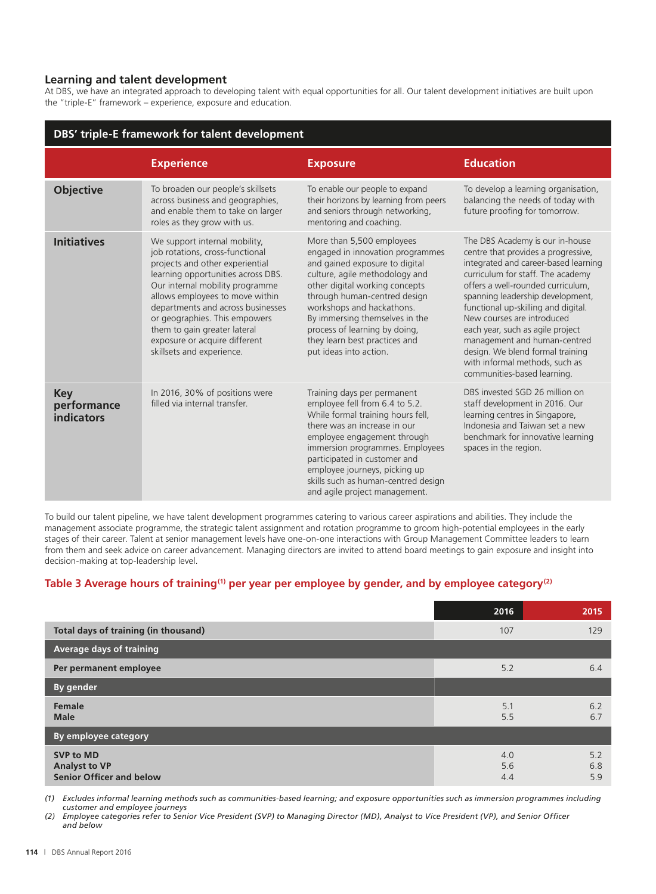## **Learning and talent development**

At DBS, we have an integrated approach to developing talent with equal opportunities for all. Our talent development initiatives are built upon the "triple-E" framework – experience, exposure and education.

| DBS' triple-E framework for talent development |                                                                                                                                                                                                                                                                                                                                                                                     |                                                                                                                                                                                                                                                                                                                                                                |                                                                                                                                                                                                                                                                                                                                                                                                                                                                            |  |  |  |
|------------------------------------------------|-------------------------------------------------------------------------------------------------------------------------------------------------------------------------------------------------------------------------------------------------------------------------------------------------------------------------------------------------------------------------------------|----------------------------------------------------------------------------------------------------------------------------------------------------------------------------------------------------------------------------------------------------------------------------------------------------------------------------------------------------------------|----------------------------------------------------------------------------------------------------------------------------------------------------------------------------------------------------------------------------------------------------------------------------------------------------------------------------------------------------------------------------------------------------------------------------------------------------------------------------|--|--|--|
|                                                | <b>Experience</b>                                                                                                                                                                                                                                                                                                                                                                   | <b>Exposure</b>                                                                                                                                                                                                                                                                                                                                                | <b>Education</b>                                                                                                                                                                                                                                                                                                                                                                                                                                                           |  |  |  |
| <b>Objective</b>                               | To broaden our people's skillsets<br>across business and geographies,<br>and enable them to take on larger<br>roles as they grow with us.                                                                                                                                                                                                                                           | To enable our people to expand<br>their horizons by learning from peers<br>and seniors through networking,<br>mentoring and coaching.                                                                                                                                                                                                                          | To develop a learning organisation,<br>balancing the needs of today with<br>future proofing for tomorrow.                                                                                                                                                                                                                                                                                                                                                                  |  |  |  |
| <b>Initiatives</b>                             | We support internal mobility,<br>job rotations, cross-functional<br>projects and other experiential<br>learning opportunities across DBS.<br>Our internal mobility programme<br>allows employees to move within<br>departments and across businesses<br>or geographies. This empowers<br>them to gain greater lateral<br>exposure or acquire different<br>skillsets and experience. | More than 5,500 employees<br>engaged in innovation programmes<br>and gained exposure to digital<br>culture, agile methodology and<br>other digital working concepts<br>through human-centred design<br>workshops and hackathons.<br>By immersing themselves in the<br>process of learning by doing,<br>they learn best practices and<br>put ideas into action. | The DBS Academy is our in-house<br>centre that provides a progressive,<br>integrated and career-based learning<br>curriculum for staff. The academy<br>offers a well-rounded curriculum,<br>spanning leadership development,<br>functional up-skilling and digital.<br>New courses are introduced<br>each year, such as agile project<br>management and human-centred<br>design. We blend formal training<br>with informal methods, such as<br>communities-based learning. |  |  |  |
| <b>Key</b><br>performance<br><b>indicators</b> | In 2016, 30% of positions were<br>filled via internal transfer.                                                                                                                                                                                                                                                                                                                     | Training days per permanent<br>employee fell from 6.4 to 5.2.<br>While formal training hours fell,<br>there was an increase in our<br>employee engagement through<br>immersion programmes. Employees<br>participated in customer and<br>employee journeys, picking up<br>skills such as human-centred design<br>and agile project management.                  | DBS invested SGD 26 million on<br>staff development in 2016. Our<br>learning centres in Singapore,<br>Indonesia and Taiwan set a new<br>benchmark for innovative learning<br>spaces in the region.                                                                                                                                                                                                                                                                         |  |  |  |

To build our talent pipeline, we have talent development programmes catering to various career aspirations and abilities. They include the management associate programme, the strategic talent assignment and rotation programme to groom high-potential employees in the early stages of their career. Talent at senior management levels have one-on-one interactions with Group Management Committee leaders to learn from them and seek advice on career advancement. Managing directors are invited to attend board meetings to gain exposure and insight into decision-making at top-leadership level.

# Table 3 Average hours of training<sup>(1)</sup> per year per employee by gender, and by employee category<sup>(2)</sup>

|                                                                             | 2016              | 2015              |
|-----------------------------------------------------------------------------|-------------------|-------------------|
| Total days of training (in thousand)                                        | 107               | 129               |
| Average days of training                                                    |                   |                   |
| Per permanent employee                                                      | 5.2               | 6.4               |
| By gender                                                                   |                   |                   |
| Female<br><b>Male</b>                                                       | 5.1<br>5.5        | 6.2<br>6.7        |
| <b>By employee category</b>                                                 |                   |                   |
| <b>SVP to MD</b><br><b>Analyst to VP</b><br><b>Senior Officer and below</b> | 4.0<br>5.6<br>4.4 | 5.2<br>6.8<br>5.9 |

*(1) Excludes informal learning methods such as communities-based learning; and exposure opportunities such as immersion programmes including customer and employee journeys*

*(2) Employee categories refer to Senior Vice President (SVP) to Managing Director (MD), Analyst to Vice President (VP), and Senior Officer and below*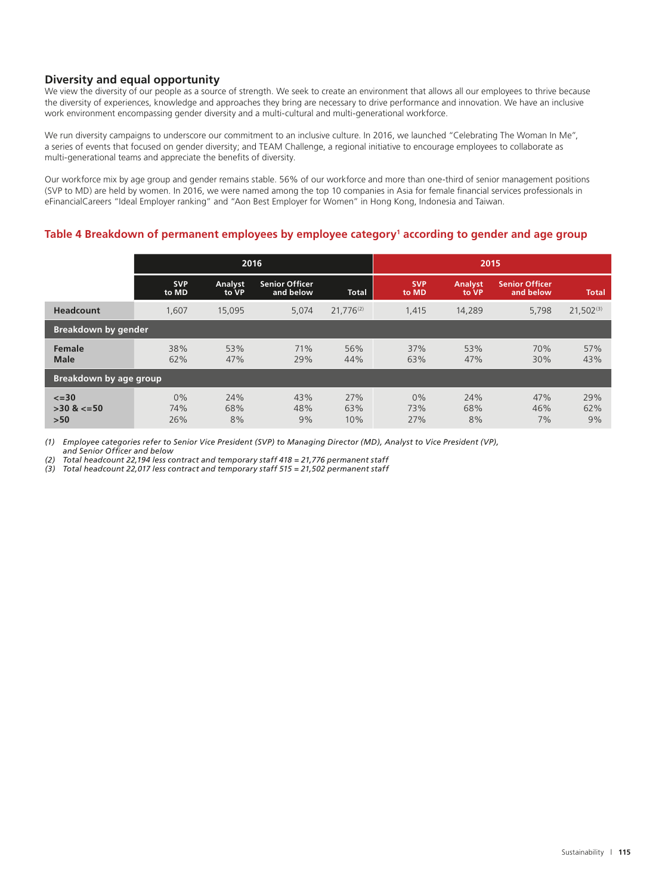# **Diversity and equal opportunity**

We view the diversity of our people as a source of strength. We seek to create an environment that allows all our employees to thrive because the diversity of experiences, knowledge and approaches they bring are necessary to drive performance and innovation. We have an inclusive work environment encompassing gender diversity and a multi-cultural and multi-generational workforce.

We run diversity campaigns to underscore our commitment to an inclusive culture. In 2016, we launched "Celebrating The Woman In Me", a series of events that focused on gender diversity; and TEAM Challenge, a regional initiative to encourage employees to collaborate as multi-generational teams and appreciate the benefits of diversity.

Our workforce mix by age group and gender remains stable. 56% of our workforce and more than one-third of senior management positions (SVP to MD) are held by women. In 2016, we were named among the top 10 companies in Asia for female financial services professionals in eFinancialCareers "Ideal Employer ranking" and "Aon Best Employer for Women" in Hong Kong, Indonesia and Taiwan.

# **Table 4 Breakdown of permanent employees by employee category1 according to gender and age group**

|                                       | 2016                |                  |                                    |                   | 2015                |                         |                                    |                  |
|---------------------------------------|---------------------|------------------|------------------------------------|-------------------|---------------------|-------------------------|------------------------------------|------------------|
|                                       | <b>SVP</b><br>to MD | Analyst<br>to VP | <b>Senior Officer</b><br>and below | <b>Total</b>      | <b>SVP</b><br>to MD | <b>Analyst</b><br>to VP | <b>Senior Officer</b><br>and below | Total            |
| <b>Headcount</b>                      | 1,607               | 15,095           | 5,074                              | $21,776^{(2)}$    | 1,415               | 14,289                  | 5,798                              | $21,502^{(3)}$   |
| <b>Breakdown by gender</b>            |                     |                  |                                    |                   |                     |                         |                                    |                  |
| <b>Female</b><br><b>Male</b>          | 38%<br>62%          | 53%<br>47%       | 71%<br>29%                         | 56%<br>44%        | 37%<br>63%          | 53%<br>47%              | 70%<br>30%                         | 57%<br>43%       |
| Breakdown by age group                |                     |                  |                                    |                   |                     |                         |                                    |                  |
| $\leq$ =30<br>$>30$ & $<=50$<br>$>50$ | 0%<br>74%<br>26%    | 24%<br>68%<br>8% | 43%<br>48%<br>9%                   | 27%<br>63%<br>10% | 0%<br>73%<br>27%    | 24%<br>68%<br>8%        | 47%<br>46%<br>7%                   | 29%<br>62%<br>9% |

*(1) Employee categories refer to Senior Vice President (SVP) to Managing Director (MD), Analyst to Vice President (VP), and Senior Officer and below* 

*(2) Total headcount 22,194 less contract and temporary staff 418 = 21,776 permanent staff*

*(3) Total headcount 22,017 less contract and temporary staff 515 = 21,502 permanent staff*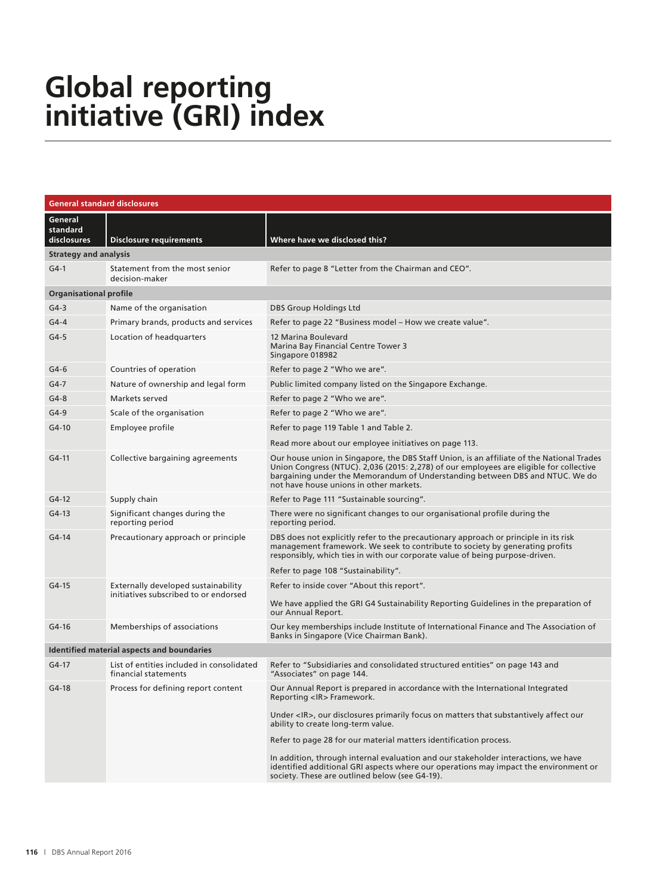# **Global reporting initiative (GRI) index**

| <b>General standard disclosures</b> |                                                                              |                                                                                                                                                                                                                                                                                                                 |
|-------------------------------------|------------------------------------------------------------------------------|-----------------------------------------------------------------------------------------------------------------------------------------------------------------------------------------------------------------------------------------------------------------------------------------------------------------|
| General<br>standard<br>disclosures  | <b>Disclosure requirements</b>                                               | Where have we disclosed this?                                                                                                                                                                                                                                                                                   |
| <b>Strategy and analysis</b>        |                                                                              |                                                                                                                                                                                                                                                                                                                 |
| $G4-1$                              | Statement from the most senior<br>decision-maker                             | Refer to page 8 "Letter from the Chairman and CEO".                                                                                                                                                                                                                                                             |
| <b>Organisational profile</b>       |                                                                              |                                                                                                                                                                                                                                                                                                                 |
| G4-3                                | Name of the organisation                                                     | <b>DBS Group Holdings Ltd</b>                                                                                                                                                                                                                                                                                   |
| G4-4                                | Primary brands, products and services                                        | Refer to page 22 "Business model – How we create value".                                                                                                                                                                                                                                                        |
| $G4-5$                              | Location of headquarters                                                     | 12 Marina Boulevard<br>Marina Bay Financial Centre Tower 3<br>Singapore 018982                                                                                                                                                                                                                                  |
| $G4-6$                              | Countries of operation                                                       | Refer to page 2 "Who we are".                                                                                                                                                                                                                                                                                   |
| G4-7                                | Nature of ownership and legal form                                           | Public limited company listed on the Singapore Exchange.                                                                                                                                                                                                                                                        |
| $G4-8$                              | Markets served                                                               | Refer to page 2 "Who we are".                                                                                                                                                                                                                                                                                   |
| G4-9                                | Scale of the organisation                                                    | Refer to page 2 "Who we are".                                                                                                                                                                                                                                                                                   |
| $G4-10$                             | Employee profile                                                             | Refer to page 119 Table 1 and Table 2.                                                                                                                                                                                                                                                                          |
|                                     |                                                                              | Read more about our employee initiatives on page 113.                                                                                                                                                                                                                                                           |
| G4-11                               | Collective bargaining agreements                                             | Our house union in Singapore, the DBS Staff Union, is an affiliate of the National Trades<br>Union Congress (NTUC). 2,036 (2015: 2,278) of our employees are eligible for collective<br>bargaining under the Memorandum of Understanding between DBS and NTUC. We do<br>not have house unions in other markets. |
| $G4-12$                             | Supply chain                                                                 | Refer to Page 111 "Sustainable sourcing".                                                                                                                                                                                                                                                                       |
| G4-13                               | Significant changes during the<br>reporting period                           | There were no significant changes to our organisational profile during the<br>reporting period.                                                                                                                                                                                                                 |
| $G4-14$                             | Precautionary approach or principle                                          | DBS does not explicitly refer to the precautionary approach or principle in its risk<br>management framework. We seek to contribute to society by generating profits<br>responsibly, which ties in with our corporate value of being purpose-driven.                                                            |
|                                     |                                                                              | Refer to page 108 "Sustainability".                                                                                                                                                                                                                                                                             |
| $G4-15$                             | Externally developed sustainability<br>initiatives subscribed to or endorsed | Refer to inside cover "About this report".                                                                                                                                                                                                                                                                      |
|                                     |                                                                              | We have applied the GRI G4 Sustainability Reporting Guidelines in the preparation of<br>our Annual Report.                                                                                                                                                                                                      |
| $G4-16$                             | Memberships of associations                                                  | Our key memberships include Institute of International Finance and The Association of<br>Banks in Singapore (Vice Chairman Bank).                                                                                                                                                                               |
|                                     | <b>Identified material aspects and boundaries</b>                            |                                                                                                                                                                                                                                                                                                                 |
| G4-17                               | financial statements                                                         | List of entities included in consolidated Refer to "Subsidiaries and consolidated structured entities" on page 143 and<br>"Associates" on page 144.                                                                                                                                                             |
| $G4-18$                             | Process for defining report content                                          | Our Annual Report is prepared in accordance with the International Integrated<br>Reporting <ir>Framework.</ir>                                                                                                                                                                                                  |
|                                     |                                                                              | Under <ir>, our disclosures primarily focus on matters that substantively affect our<br/>ability to create long-term value.</ir>                                                                                                                                                                                |
|                                     |                                                                              | Refer to page 28 for our material matters identification process.                                                                                                                                                                                                                                               |
|                                     |                                                                              | In addition, through internal evaluation and our stakeholder interactions, we have<br>identified additional GRI aspects where our operations may impact the environment or<br>society. These are outlined below (see G4-19).                                                                                    |
|                                     |                                                                              |                                                                                                                                                                                                                                                                                                                 |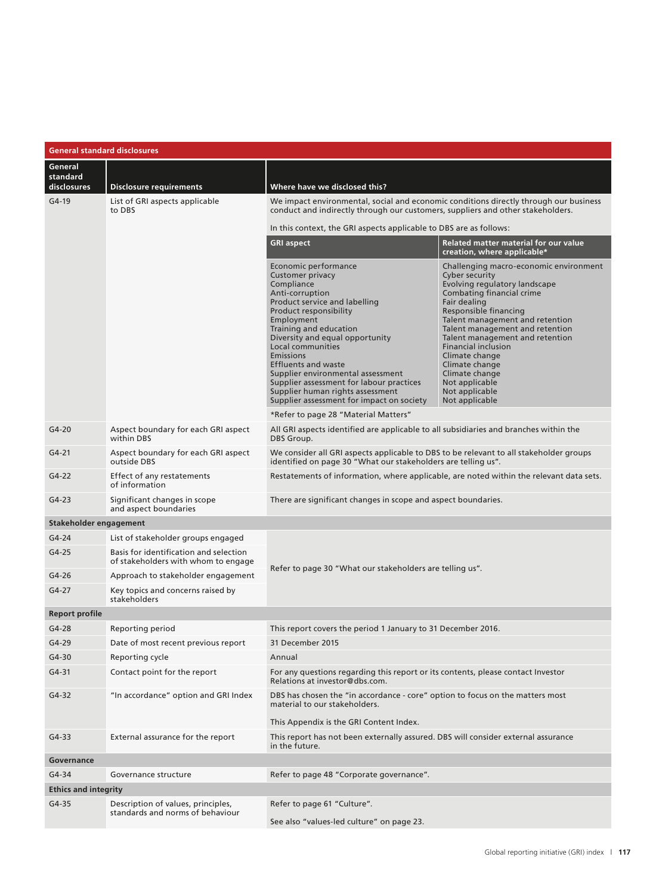| <b>General standard disclosures</b> |                                                                               |                                                                                                                                                                                                                                                                                                                                                                                                                                                                                           |                                                                                                                                                                                                                                                                                                                                                                                                                    |  |  |  |  |
|-------------------------------------|-------------------------------------------------------------------------------|-------------------------------------------------------------------------------------------------------------------------------------------------------------------------------------------------------------------------------------------------------------------------------------------------------------------------------------------------------------------------------------------------------------------------------------------------------------------------------------------|--------------------------------------------------------------------------------------------------------------------------------------------------------------------------------------------------------------------------------------------------------------------------------------------------------------------------------------------------------------------------------------------------------------------|--|--|--|--|
| General<br>standard<br>disclosures  | <b>Disclosure requirements</b>                                                | Where have we disclosed this?                                                                                                                                                                                                                                                                                                                                                                                                                                                             |                                                                                                                                                                                                                                                                                                                                                                                                                    |  |  |  |  |
| G4-19                               | List of GRI aspects applicable<br>to DBS                                      | We impact environmental, social and economic conditions directly through our business<br>conduct and indirectly through our customers, suppliers and other stakeholders.                                                                                                                                                                                                                                                                                                                  |                                                                                                                                                                                                                                                                                                                                                                                                                    |  |  |  |  |
|                                     |                                                                               | In this context, the GRI aspects applicable to DBS are as follows:                                                                                                                                                                                                                                                                                                                                                                                                                        |                                                                                                                                                                                                                                                                                                                                                                                                                    |  |  |  |  |
|                                     |                                                                               | <b>GRI aspect</b>                                                                                                                                                                                                                                                                                                                                                                                                                                                                         | <b>Related matter material for our value</b><br>creation, where applicable*                                                                                                                                                                                                                                                                                                                                        |  |  |  |  |
|                                     |                                                                               | Economic performance<br>Customer privacy<br>Compliance<br>Anti-corruption<br>Product service and labelling<br>Product responsibility<br>Employment<br>Training and education<br>Diversity and equal opportunity<br>Local communities<br>Emissions<br><b>Effluents and waste</b><br>Supplier environmental assessment<br>Supplier assessment for labour practices<br>Supplier human rights assessment<br>Supplier assessment for impact on society<br>*Refer to page 28 "Material Matters" | Challenging macro-economic environment<br>Cyber security<br>Evolving regulatory landscape<br>Combating financial crime<br>Fair dealing<br>Responsible financing<br>Talent management and retention<br>Talent management and retention<br>Talent management and retention<br><b>Financial inclusion</b><br>Climate change<br>Climate change<br>Climate change<br>Not applicable<br>Not applicable<br>Not applicable |  |  |  |  |
| $G4-20$                             | Aspect boundary for each GRI aspect                                           | All GRI aspects identified are applicable to all subsidiaries and branches within the                                                                                                                                                                                                                                                                                                                                                                                                     |                                                                                                                                                                                                                                                                                                                                                                                                                    |  |  |  |  |
| $G4 - 21$                           | within DBS<br>Aspect boundary for each GRI aspect                             | DBS Group.<br>We consider all GRI aspects applicable to DBS to be relevant to all stakeholder groups<br>identified on page 30 "What our stakeholders are telling us".                                                                                                                                                                                                                                                                                                                     |                                                                                                                                                                                                                                                                                                                                                                                                                    |  |  |  |  |
| $G4-22$                             | outside DBS<br>Effect of any restatements<br>of information                   | Restatements of information, where applicable, are noted within the relevant data sets.                                                                                                                                                                                                                                                                                                                                                                                                   |                                                                                                                                                                                                                                                                                                                                                                                                                    |  |  |  |  |
| $G4-23$                             | Significant changes in scope<br>and aspect boundaries                         | There are significant changes in scope and aspect boundaries.                                                                                                                                                                                                                                                                                                                                                                                                                             |                                                                                                                                                                                                                                                                                                                                                                                                                    |  |  |  |  |
| Stakeholder engagement              |                                                                               |                                                                                                                                                                                                                                                                                                                                                                                                                                                                                           |                                                                                                                                                                                                                                                                                                                                                                                                                    |  |  |  |  |
| $G4-24$                             | List of stakeholder groups engaged                                            |                                                                                                                                                                                                                                                                                                                                                                                                                                                                                           |                                                                                                                                                                                                                                                                                                                                                                                                                    |  |  |  |  |
| $G4-25$                             | Basis for identification and selection<br>of stakeholders with whom to engage | Refer to page 30 "What our stakeholders are telling us".                                                                                                                                                                                                                                                                                                                                                                                                                                  |                                                                                                                                                                                                                                                                                                                                                                                                                    |  |  |  |  |
| G4-26                               | Approach to stakeholder engagement                                            |                                                                                                                                                                                                                                                                                                                                                                                                                                                                                           |                                                                                                                                                                                                                                                                                                                                                                                                                    |  |  |  |  |
| $G4-27$                             | Key topics and concerns raised by<br>stakeholders                             |                                                                                                                                                                                                                                                                                                                                                                                                                                                                                           |                                                                                                                                                                                                                                                                                                                                                                                                                    |  |  |  |  |
| <b>Report profile</b>               |                                                                               |                                                                                                                                                                                                                                                                                                                                                                                                                                                                                           |                                                                                                                                                                                                                                                                                                                                                                                                                    |  |  |  |  |
| $G4-28$                             | Reporting period                                                              | This report covers the period 1 January to 31 December 2016.                                                                                                                                                                                                                                                                                                                                                                                                                              |                                                                                                                                                                                                                                                                                                                                                                                                                    |  |  |  |  |
| $G4-29$                             | Date of most recent previous report                                           | 31 December 2015                                                                                                                                                                                                                                                                                                                                                                                                                                                                          |                                                                                                                                                                                                                                                                                                                                                                                                                    |  |  |  |  |
| $G4-30$                             | Reporting cycle                                                               | Annual                                                                                                                                                                                                                                                                                                                                                                                                                                                                                    |                                                                                                                                                                                                                                                                                                                                                                                                                    |  |  |  |  |
| $G4-31$                             | Contact point for the report                                                  | For any questions regarding this report or its contents, please contact Investor<br>Relations at investor@dbs.com.                                                                                                                                                                                                                                                                                                                                                                        |                                                                                                                                                                                                                                                                                                                                                                                                                    |  |  |  |  |
| $G4-32$                             | "In accordance" option and GRI Index                                          | DBS has chosen the "in accordance - core" option to focus on the matters most<br>material to our stakeholders.                                                                                                                                                                                                                                                                                                                                                                            |                                                                                                                                                                                                                                                                                                                                                                                                                    |  |  |  |  |
|                                     |                                                                               | This Appendix is the GRI Content Index.                                                                                                                                                                                                                                                                                                                                                                                                                                                   |                                                                                                                                                                                                                                                                                                                                                                                                                    |  |  |  |  |
| $G4-33$                             | External assurance for the report                                             | This report has not been externally assured. DBS will consider external assurance<br>in the future.                                                                                                                                                                                                                                                                                                                                                                                       |                                                                                                                                                                                                                                                                                                                                                                                                                    |  |  |  |  |
| Governance                          |                                                                               |                                                                                                                                                                                                                                                                                                                                                                                                                                                                                           |                                                                                                                                                                                                                                                                                                                                                                                                                    |  |  |  |  |
| G4-34                               | Governance structure                                                          | Refer to page 48 "Corporate governance".                                                                                                                                                                                                                                                                                                                                                                                                                                                  |                                                                                                                                                                                                                                                                                                                                                                                                                    |  |  |  |  |
| <b>Ethics and integrity</b>         |                                                                               |                                                                                                                                                                                                                                                                                                                                                                                                                                                                                           |                                                                                                                                                                                                                                                                                                                                                                                                                    |  |  |  |  |
| $G4-35$                             | Description of values, principles,<br>standards and norms of behaviour        | Refer to page 61 "Culture".                                                                                                                                                                                                                                                                                                                                                                                                                                                               |                                                                                                                                                                                                                                                                                                                                                                                                                    |  |  |  |  |
|                                     |                                                                               | See also "values-led culture" on page 23.                                                                                                                                                                                                                                                                                                                                                                                                                                                 |                                                                                                                                                                                                                                                                                                                                                                                                                    |  |  |  |  |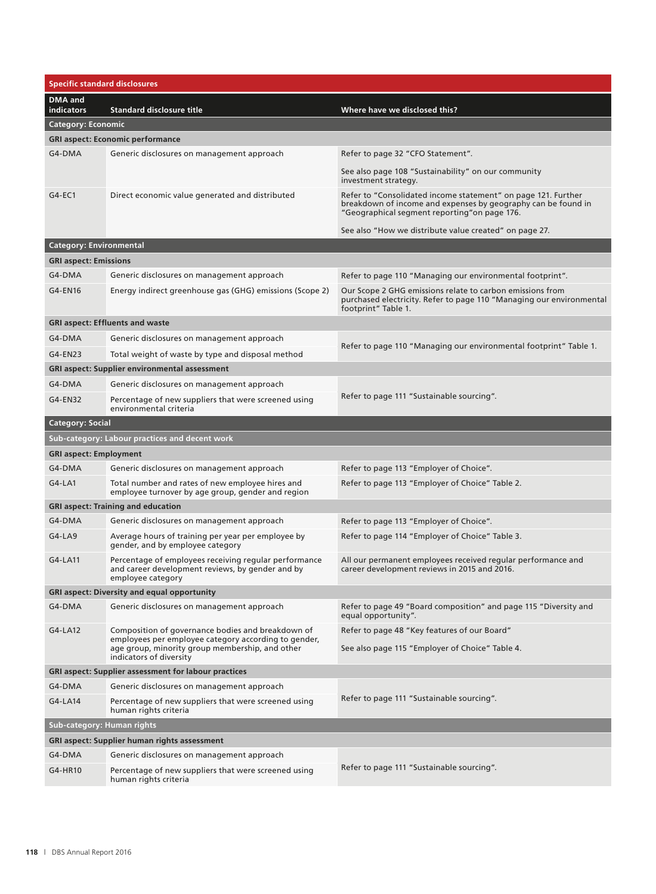| <b>Specific standard disclosures</b> |                                                                                                                                                                                         |                                                                                                                                                                                |
|--------------------------------------|-----------------------------------------------------------------------------------------------------------------------------------------------------------------------------------------|--------------------------------------------------------------------------------------------------------------------------------------------------------------------------------|
| <b>DMA</b> and<br><b>indicators</b>  | <b>Standard disclosure title</b>                                                                                                                                                        | Where have we disclosed this?                                                                                                                                                  |
| <b>Category: Economic</b>            |                                                                                                                                                                                         |                                                                                                                                                                                |
|                                      | <b>GRI aspect: Economic performance</b>                                                                                                                                                 |                                                                                                                                                                                |
| G4-DMA                               | Generic disclosures on management approach                                                                                                                                              | Refer to page 32 "CFO Statement".                                                                                                                                              |
|                                      |                                                                                                                                                                                         | See also page 108 "Sustainability" on our community<br>investment strategy.                                                                                                    |
| $G4-EC1$                             | Direct economic value generated and distributed                                                                                                                                         | Refer to "Consolidated income statement" on page 121. Further<br>breakdown of income and expenses by geography can be found in<br>"Geographical segment reporting"on page 176. |
|                                      |                                                                                                                                                                                         | See also "How we distribute value created" on page 27.                                                                                                                         |
| <b>Category: Environmental</b>       |                                                                                                                                                                                         |                                                                                                                                                                                |
| <b>GRI aspect: Emissions</b>         |                                                                                                                                                                                         |                                                                                                                                                                                |
| G4-DMA                               | Generic disclosures on management approach                                                                                                                                              | Refer to page 110 "Managing our environmental footprint".                                                                                                                      |
| G4-EN16                              | Energy indirect greenhouse gas (GHG) emissions (Scope 2)                                                                                                                                | Our Scope 2 GHG emissions relate to carbon emissions from<br>purchased electricity. Refer to page 110 "Managing our environmental<br>footprint" Table 1.                       |
|                                      | <b>GRI aspect: Effluents and waste</b>                                                                                                                                                  |                                                                                                                                                                                |
| G4-DMA                               | Generic disclosures on management approach                                                                                                                                              |                                                                                                                                                                                |
| G4-EN23                              | Total weight of waste by type and disposal method                                                                                                                                       | Refer to page 110 "Managing our environmental footprint" Table 1.                                                                                                              |
|                                      | <b>GRI aspect: Supplier environmental assessment</b>                                                                                                                                    |                                                                                                                                                                                |
| G4-DMA                               | Generic disclosures on management approach                                                                                                                                              |                                                                                                                                                                                |
| G4-EN32                              | Percentage of new suppliers that were screened using                                                                                                                                    | Refer to page 111 "Sustainable sourcing".                                                                                                                                      |
|                                      | environmental criteria                                                                                                                                                                  |                                                                                                                                                                                |
| <b>Category: Social</b>              |                                                                                                                                                                                         |                                                                                                                                                                                |
|                                      | Sub-category: Labour practices and decent work                                                                                                                                          |                                                                                                                                                                                |
| <b>GRI aspect: Employment</b>        |                                                                                                                                                                                         |                                                                                                                                                                                |
| G4-DMA                               | Generic disclosures on management approach                                                                                                                                              | Refer to page 113 "Employer of Choice".                                                                                                                                        |
| $G4-LA1$                             | Total number and rates of new employee hires and<br>employee turnover by age group, gender and region                                                                                   | Refer to page 113 "Employer of Choice" Table 2.                                                                                                                                |
|                                      | <b>GRI aspect: Training and education</b>                                                                                                                                               |                                                                                                                                                                                |
| G4-DMA                               | Generic disclosures on management approach                                                                                                                                              | Refer to page 113 "Employer of Choice".                                                                                                                                        |
| $G4-LA9$                             | Average hours of training per year per employee by<br>gender, and by employee category                                                                                                  | Refer to page 114 "Employer of Choice" Table 3.                                                                                                                                |
| $G4-LA11$                            | Percentage of employees receiving regular performance<br>and career development reviews, by gender and by<br>employee category                                                          | All our permanent employees received regular performance and<br>career development reviews in 2015 and 2016.                                                                   |
|                                      | <b>GRI aspect: Diversity and equal opportunity</b>                                                                                                                                      |                                                                                                                                                                                |
| G4-DMA                               | Generic disclosures on management approach                                                                                                                                              | Refer to page 49 "Board composition" and page 115 "Diversity and<br>equal opportunity".                                                                                        |
| $G4-LA12$                            | Composition of governance bodies and breakdown of<br>employees per employee category according to gender,<br>age group, minority group membership, and other<br>indicators of diversity | Refer to page 48 "Key features of our Board"<br>See also page 115 "Employer of Choice" Table 4.                                                                                |
|                                      | <b>GRI aspect: Supplier assessment for labour practices</b>                                                                                                                             |                                                                                                                                                                                |
| G4-DMA                               | Generic disclosures on management approach                                                                                                                                              |                                                                                                                                                                                |
| G4-LA14                              | Percentage of new suppliers that were screened using<br>human rights criteria                                                                                                           | Refer to page 111 "Sustainable sourcing".                                                                                                                                      |
| Sub-category: Human rights           |                                                                                                                                                                                         |                                                                                                                                                                                |
|                                      | <b>GRI aspect: Supplier human rights assessment</b>                                                                                                                                     |                                                                                                                                                                                |
| G4-DMA                               | Generic disclosures on management approach                                                                                                                                              |                                                                                                                                                                                |
| G4-HR10                              | Percentage of new suppliers that were screened using<br>human rights criteria                                                                                                           | Refer to page 111 "Sustainable sourcing".                                                                                                                                      |